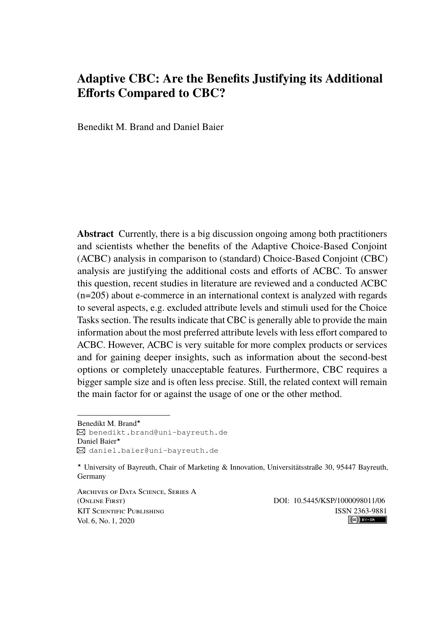# **Adaptive CBC: Are the Benefits Justifying its Additional Efforts Compared to CBC?**

Benedikt M. Brand and Daniel Baier

**Abstract** Currently, there is a big discussion ongoing among both practitioners and scientists whether the benefits of the Adaptive Choice-Based Conjoint (ACBC) analysis in comparison to (standard) Choice-Based Conjoint (CBC) analysis are justifying the additional costs and efforts of ACBC. To answer this question, recent studies in literature are reviewed and a conducted ACBC (n=205) about e-commerce in an international context is analyzed with regards to several aspects, e.g. excluded attribute levels and stimuli used for the Choice Tasks section. The results indicate that CBC is generally able to provide the main information about the most preferred attribute levels with less effort compared to ACBC. However, ACBC is very suitable for more complex products or services and for gaining deeper insights, such as information about the second-best options or completely unacceptable features. Furthermore, CBC requires a bigger sample size and is often less precise. Still, the related context will remain the main factor for or against the usage of one or the other method.

Benedikt M. Brand★ [benedikt.brand@uni-bayreuth.de](mailto:benedikt.brand@uni-bayreuth.de) Daniel Baier★ [daniel.baier@uni-bayreuth.de](mailto:daniel.baier@uni-bayreuth.de)

Archives of Data Science, Series A (Online First) DOI: [10.5445/KSP/1000098011/06](https://doi.org/10.5445/KSP/1000098011/06) KIT SCIENTIFIC PUBLISHING ISSN 2363-9881<br>Vol 6 No. 1 2020 Vol. 6, No. 1, 2020

<sup>★</sup> University of Bayreuth, Chair of Marketing & Innovation, Universitätsstraße 30, 95447 Bayreuth, Germany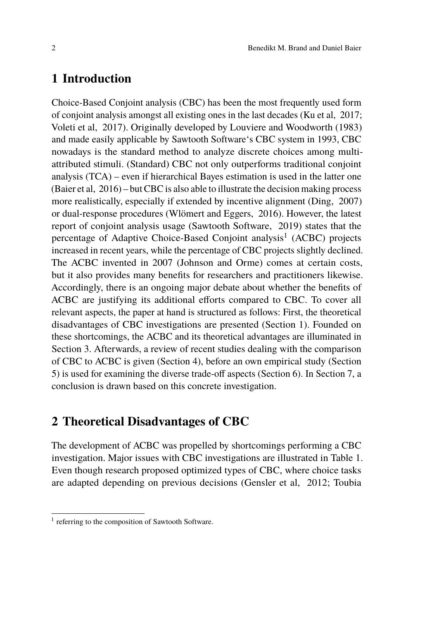## **1 Introduction**

Choice-Based Conjoint analysis (CBC) has been the most frequently used form of conjoint analysis amongst all existing ones in the last decades [\(Ku et al, 2017;](#page-19-0) [Voleti et al, 2017\)](#page-20-0). Originally developed by [Louviere and Woodworth](#page-19-1) [\(1983\)](#page-19-1) and made easily applicable by Sawtooth Software's CBC system in 1993, CBC nowadays is the standard method to analyze discrete choices among multiattributed stimuli. (Standard) CBC not only outperforms traditional conjoint analysis (TCA) – even if hierarchical Bayes estimation is used in the latter one [\(Baier et al, 2016\)](#page-18-0) – but CBC is also able to illustrate the decision making process more realistically, especially if extended by incentive alignment [\(Ding, 2007\)](#page-18-1) or dual-response procedures [\(Wlömert and Eggers, 2016\)](#page-20-1). However, the latest report of conjoint analysis usage [\(Sawtooth Software, 2019\)](#page-19-2) states that the percentage of Adaptive Choice-Based Conjoint analysis<sup>[1](#page-1-0)</sup> (ACBC) projects increased in recent years, while the percentage of CBC projects slightly declined. The ACBC invented in 2007 (Johnson and Orme) comes at certain costs, but it also provides many benefits for researchers and practitioners likewise. Accordingly, there is an ongoing major debate about whether the benefits of ACBC are justifying its additional efforts compared to CBC. To cover all relevant aspects, the paper at hand is structured as follows: First, the theoretical disadvantages of CBC investigations are presented (Section 1). Founded on these shortcomings, the ACBC and its theoretical advantages are illuminated in Section 3. Afterwards, a review of recent studies dealing with the comparison of CBC to ACBC is given (Section 4), before an own empirical study (Section 5) is used for examining the diverse trade-off aspects (Section 6). In Section 7, a conclusion is drawn based on this concrete investigation.

## **2 Theoretical Disadvantages of CBC**

The development of ACBC was propelled by shortcomings performing a CBC investigation. Major issues with CBC investigations are illustrated in Table [1.](#page-2-0) Even though research proposed optimized types of CBC, where choice tasks are adapted depending on previous decisions [\(Gensler et al, 2012;](#page-18-2) [Toubia](#page-20-2)

<span id="page-1-0"></span><sup>&</sup>lt;sup>1</sup> [referring to the composition of Sawtooth Software.](#page-20-2)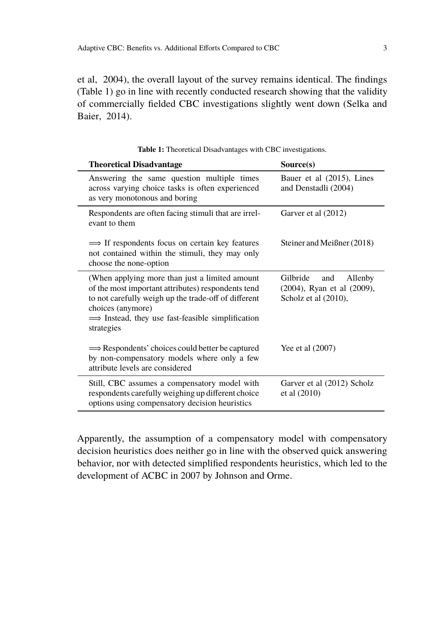[et al, 2004\)](#page-20-2), the overall layout of the survey remains identical. The findings (Table [1\)](#page-2-0) go in line with recently conducted research showing that the validity of commercially fielded CBC investigations slightly went down [\(Selka and](#page-20-3) [Baier, 2014\)](#page-20-3).

<span id="page-2-0"></span>

| <b>Theoretical Disadvantage</b>                                                                                                                                                                                                                               | Source(s)                                                                        |
|---------------------------------------------------------------------------------------------------------------------------------------------------------------------------------------------------------------------------------------------------------------|----------------------------------------------------------------------------------|
| Answering the same question multiple times<br>across varying choice tasks is often experienced<br>as very monotonous and boring                                                                                                                               | Bauer et al (2015), Lines<br>and Denstadli (2004)                                |
| Respondents are often facing stimuli that are irrel-<br>evant to them                                                                                                                                                                                         | Garver et al (2012)                                                              |
| $\implies$ If respondents focus on certain key features<br>not contained within the stimuli, they may only<br>choose the none-option                                                                                                                          | Steiner and Meißner (2018)                                                       |
| (When applying more than just a limited amount)<br>of the most important attributes) respondents tend<br>to not carefully weigh up the trade-off of different<br>choices (anymore)<br>$\implies$ Instead, they use fast-feasible simplification<br>strategies | Gilbride<br>Allenby<br>and<br>(2004), Ryan et al (2009),<br>Scholz et al (2010), |
| $\implies$ Respondents' choices could better be captured<br>by non-compensatory models where only a few<br>attribute levels are considered                                                                                                                    | Yee et al (2007)                                                                 |
| Still, CBC assumes a compensatory model with<br>respondents carefully weighing up different choice<br>options using compensatory decision heuristics                                                                                                          | Garver et al (2012) Scholz<br>et al $(2010)$                                     |

**Table 1:** Theoretical Disadvantages with CBC investigations.

Apparently, the assumption of a compensatory model with compensatory decision heuristics does neither go in line with the observed quick answering behavior, nor with detected simplified respondents heuristics, which led to the development of ACBC in 2007 by [Johnson and Orme.](#page-19-5)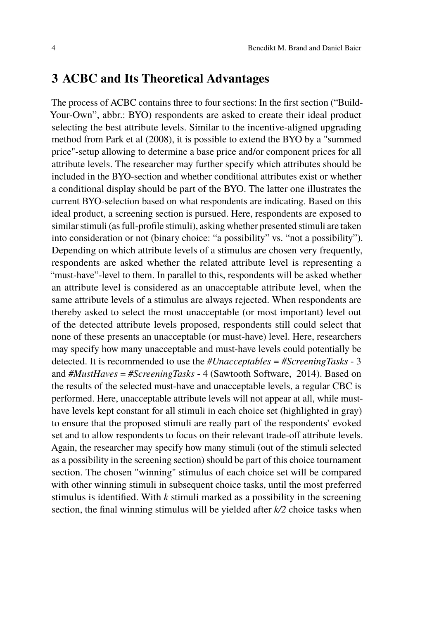### **3 ACBC and Its Theoretical Advantages**

The process of ACBC contains three to four sections: In the first section ("Build-Your-Own", abbr.: BYO) respondents are asked to create their ideal product selecting the best attribute levels. Similar to the incentive-aligned upgrading method from [Park et al](#page-19-6) [\(2008\)](#page-19-6), it is possible to extend the BYO by a "summed price"-setup allowing to determine a base price and/or component prices for all attribute levels. The researcher may further specify which attributes should be included in the BYO-section and whether conditional attributes exist or whether a conditional display should be part of the BYO. The latter one illustrates the current BYO-selection based on what respondents are indicating. Based on this ideal product, a screening section is pursued. Here, respondents are exposed to similar stimuli (as full-profile stimuli), asking whether presented stimuli are taken into consideration or not (binary choice: "a possibility" vs. "not a possibility"). Depending on which attribute levels of a stimulus are chosen very frequently, respondents are asked whether the related attribute level is representing a "must-have"-level to them. In parallel to this, respondents will be asked whether an attribute level is considered as an unacceptable attribute level, when the same attribute levels of a stimulus are always rejected. When respondents are thereby asked to select the most unacceptable (or most important) level out of the detected attribute levels proposed, respondents still could select that none of these presents an unacceptable (or must-have) level. Here, researchers may specify how many unacceptable and must-have levels could potentially be detected. It is recommended to use the *#Unacceptables* = *#ScreeningTasks* - 3 and *#MustHaves* = *#ScreeningTasks* - 4 [\(Sawtooth Software, 2014\)](#page-19-7). Based on the results of the selected must-have and unacceptable levels, a regular CBC is performed. Here, unacceptable attribute levels will not appear at all, while musthave levels kept constant for all stimuli in each choice set (highlighted in gray) to ensure that the proposed stimuli are really part of the respondents' evoked set and to allow respondents to focus on their relevant trade-off attribute levels. Again, the researcher may specify how many stimuli (out of the stimuli selected as a possibility in the screening section) should be part of this choice tournament section. The chosen "winning" stimulus of each choice set will be compared with other winning stimuli in subsequent choice tasks, until the most preferred stimulus is identified. With *k* stimuli marked as a possibility in the screening section, the final winning stimulus will be yielded after *k/2* choice tasks when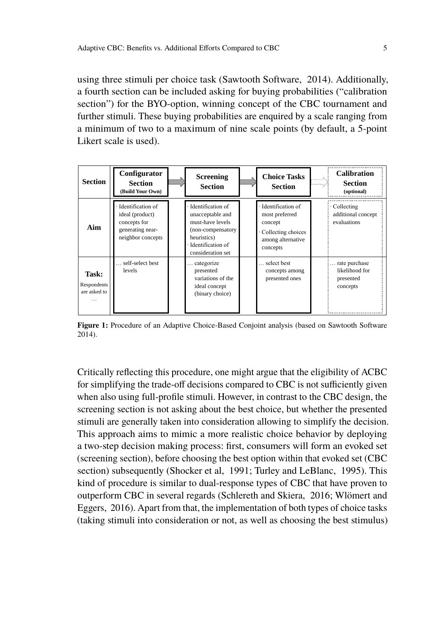using three stimuli per choice task [\(Sawtooth Software, 2014\)](#page-19-7). Additionally, a fourth section can be included asking for buying probabilities ("calibration section") for the BYO-option, winning concept of the CBC tournament and further stimuli. These buying probabilities are enquired by a scale ranging from a minimum of two to a maximum of nine scale points (by default, a 5-point Likert scale is used).

| <b>Section</b>                                   | Configurator<br><b>Section</b><br><b>Build Your Own)</b>                                      | <b>Screening</b><br><b>Section</b>                                                                                                        | <b>Choice Tasks</b><br><b>Section</b>                                                                   | <b>Calibration</b><br><b>Section</b><br>(optional)       |
|--------------------------------------------------|-----------------------------------------------------------------------------------------------|-------------------------------------------------------------------------------------------------------------------------------------------|---------------------------------------------------------------------------------------------------------|----------------------------------------------------------|
| Aim                                              | Identification of<br>ideal (product)<br>concepts for<br>generating near-<br>neighbor concepts | · Identification of<br>unacceptable and<br>must-have levels<br>(non-compensatory<br>heuristics)<br>Identification of<br>consideration set | · Identification of<br>most preferred<br>concept<br>Collecting choices<br>among alternative<br>concepts | Collecting<br>additional concept<br>evaluations          |
| Task:<br>Respondents<br>are asked to<br>$\cdots$ | self-select best<br>levels                                                                    | categorize<br>presented<br>variations of the<br>ideal concept<br>(binary choice)                                                          | select best<br>concepts among<br>presented ones                                                         | rate purchase<br>likelihood for<br>presented<br>concepts |

**Figure 1:** Procedure of an Adaptive Choice-Based Conjoint analysis (based on [Sawtooth Software](#page-19-7) [2014\)](#page-19-7).

Critically reflecting this procedure, one might argue that the eligibility of ACBC for simplifying the trade-off decisions compared to CBC is not sufficiently given when also using full-profile stimuli. However, in contrast to the CBC design, the screening section is not asking about the best choice, but whether the presented stimuli are generally taken into consideration allowing to simplify the decision. This approach aims to mimic a more realistic choice behavior by deploying a two-step decision making process: first, consumers will form an evoked set (screening section), before choosing the best option within that evoked set (CBC section) subsequently [\(Shocker et al, 1991;](#page-20-6) [Turley and LeBlanc, 1995\)](#page-20-7). This kind of procedure is similar to dual-response types of CBC that have proven to outperform CBC in several regards [\(Schlereth and Skiera, 2016;](#page-20-8) [Wlömert and](#page-20-1) [Eggers, 2016\)](#page-20-1). Apart from that, the implementation of both types of choice tasks (taking stimuli into consideration or not, as well as choosing the best stimulus)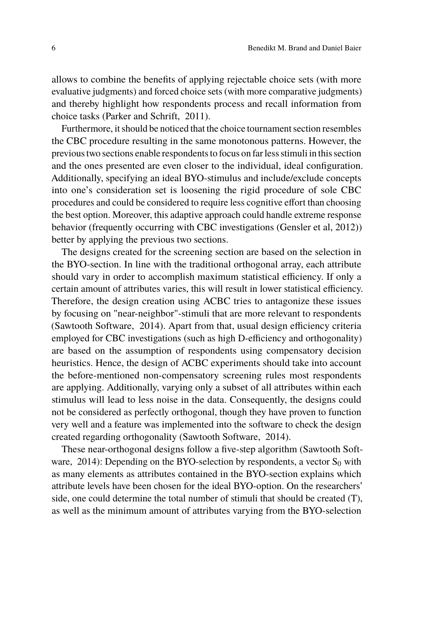allows to combine the benefits of applying rejectable choice sets (with more evaluative judgments) and forced choice sets (with more comparative judgments) and thereby highlight how respondents process and recall information from choice tasks [\(Parker and Schrift, 2011\)](#page-19-8).

Furthermore, it should be noticed that the choice tournament section resembles the CBC procedure resulting in the same monotonous patterns. However, the previous two sections enable respondents to focus on far less stimuli in this section and the ones presented are even closer to the individual, ideal configuration. Additionally, specifying an ideal BYO-stimulus and include/exclude concepts into one's consideration set is loosening the rigid procedure of sole CBC procedures and could be considered to require less cognitive effort than choosing the best option. Moreover, this adaptive approach could handle extreme response behavior (frequently occurring with CBC investigations (Gensler et al, 2012)) better by applying the previous two sections.

The designs created for the screening section are based on the selection in the BYO-section. In line with the traditional orthogonal array, each attribute should vary in order to accomplish maximum statistical efficiency. If only a certain amount of attributes varies, this will result in lower statistical efficiency. Therefore, the design creation using ACBC tries to antagonize these issues by focusing on "near-neighbor"-stimuli that are more relevant to respondents [\(Sawtooth Software, 2014\)](#page-19-7). Apart from that, usual design efficiency criteria employed for CBC investigations (such as high D-efficiency and orthogonality) are based on the assumption of respondents using compensatory decision heuristics. Hence, the design of ACBC experiments should take into account the before-mentioned non-compensatory screening rules most respondents are applying. Additionally, varying only a subset of all attributes within each stimulus will lead to less noise in the data. Consequently, the designs could not be considered as perfectly orthogonal, though they have proven to function very well and a feature was implemented into the software to check the design created regarding orthogonality [\(Sawtooth Software, 2014\)](#page-19-7).

These near-orthogonal designs follow a five-step algorithm [\(Sawtooth Soft](#page-19-7)ware,  $2014$ ): Depending on the BYO-selection by respondents, a vector  $S_0$  with as many elements as attributes contained in the BYO-section explains which attribute levels have been chosen for the ideal BYO-option. On the researchers' side, one could determine the total number of stimuli that should be created (T), as well as the minimum amount of attributes varying from the BYO-selection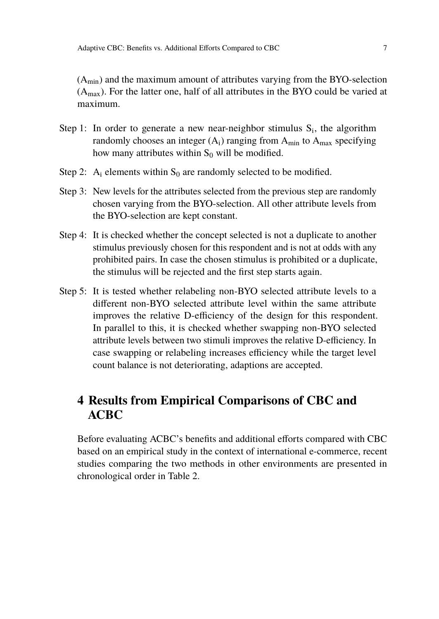$(A<sub>min</sub>)$  and the maximum amount of attributes varying from the BYO-selection  $(A<sub>max</sub>)$ . For the latter one, half of all attributes in the BYO could be varied at maximum.

- Step 1: In order to generate a new near-neighbor stimulus  $S_i$ , the algorithm randomly chooses an integer  $(A_i)$  ranging from  $A_{min}$  to  $A_{max}$  specifying how many attributes within  $S_0$  will be modified.
- Step 2: A<sub>i</sub> elements within  $S_0$  are randomly selected to be modified.
- Step 3: New levels for the attributes selected from the previous step are randomly chosen varying from the BYO-selection. All other attribute levels from the BYO-selection are kept constant.
- Step 4: It is checked whether the concept selected is not a duplicate to another stimulus previously chosen for this respondent and is not at odds with any prohibited pairs. In case the chosen stimulus is prohibited or a duplicate, the stimulus will be rejected and the first step starts again.
- Step 5: It is tested whether relabeling non-BYO selected attribute levels to a different non-BYO selected attribute level within the same attribute improves the relative D-efficiency of the design for this respondent. In parallel to this, it is checked whether swapping non-BYO selected attribute levels between two stimuli improves the relative D-efficiency. In case swapping or relabeling increases efficiency while the target level count balance is not deteriorating, adaptions are accepted.

# **4 Results from Empirical Comparisons of CBC and ACBC**

Before evaluating ACBC's benefits and additional efforts compared with CBC based on an empirical study in the context of international e-commerce, recent studies comparing the two methods in other environments are presented in chronological order in [Table 2.](#page-7-0)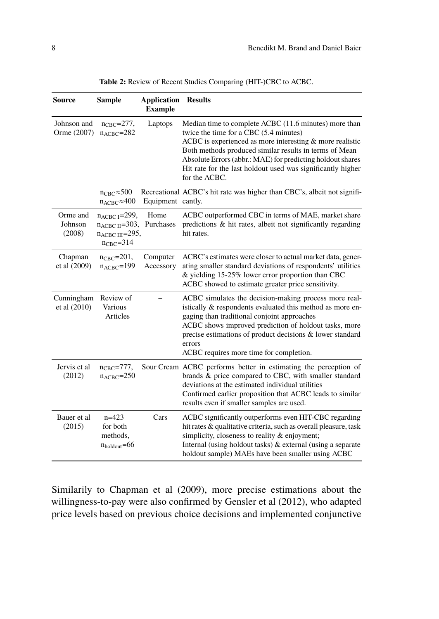<span id="page-7-0"></span>

| <b>Source</b>                 | <b>Sample</b>                                                                                          | <b>Application</b><br><b>Example</b> | <b>Results</b>                                                                                                                                                                                                                                                                                                                                                        |
|-------------------------------|--------------------------------------------------------------------------------------------------------|--------------------------------------|-----------------------------------------------------------------------------------------------------------------------------------------------------------------------------------------------------------------------------------------------------------------------------------------------------------------------------------------------------------------------|
| Johnson and<br>Orme (2007)    | $n_{\text{CBC}}=277$ ,<br>$n_{ACBC} = 282$                                                             | Laptops                              | Median time to complete ACBC (11.6 minutes) more than<br>twice the time for a CBC (5.4 minutes)<br>ACBC is experienced as more interesting $&$ more realistic<br>Both methods produced similar results in terms of Mean<br>Absolute Errors (abbr.: MAE) for predicting holdout shares<br>Hit rate for the last holdout used was significantly higher<br>for the ACBC. |
|                               | $n_{\text{CBC}} \approx 500$<br>$n_{\text{ACBC}} \approx 400$                                          | Equipment cantly.                    | Recreational ACBC's hit rate was higher than CBC's, albeit not signifi-                                                                                                                                                                                                                                                                                               |
| Orme and<br>Johnson<br>(2008) | $n_{ACBC}$ <sub>1</sub> =299,<br>$n_{ACBC II} = 303$ ,<br>$n_{ACBC III}$ =295,<br>$n_{\text{CBC}}=314$ | Home<br>Purchases                    | ACBC outperformed CBC in terms of MAE, market share<br>predictions $\&$ hit rates, albeit not significantly regarding<br>hit rates.                                                                                                                                                                                                                                   |
| Chapman<br>et al (2009)       | $n_{\text{CBC}}=201,$<br>$n_{ACBC} = 199$                                                              | Computer<br>Accessory                | ACBC's estimates were closer to actual market data, gener-<br>ating smaller standard deviations of respondents' utilities<br>& yielding $15-25\%$ lower error proportion than CBC<br>ACBC showed to estimate greater price sensitivity.                                                                                                                               |
| Cunningham<br>et al $(2010)$  | Review of<br>Various<br>Articles                                                                       |                                      | ACBC simulates the decision-making process more real-<br>istically & respondents evaluated this method as more en-<br>gaging than traditional conjoint approaches<br>ACBC shows improved prediction of holdout tasks, more<br>precise estimations of product decisions & lower standard<br>errors<br>ACBC requires more time for completion.                          |
| Jervis et al<br>(2012)        | $n_{\text{CBC}}=777$ ,<br>$n_{ACBC} = 250$                                                             |                                      | Sour Cream ACBC performs better in estimating the perception of<br>brands & price compared to CBC, with smaller standard<br>deviations at the estimated individual utilities<br>Confirmed earlier proposition that ACBC leads to similar<br>results even if smaller samples are used.                                                                                 |
| Bauer et al<br>(2015)         | $n=423$<br>for both<br>methods,<br>$n_{\text{holdout}} = 66$                                           | Cars                                 | ACBC significantly outperforms even HIT-CBC regarding<br>hit rates & qualitative criteria, such as overall pleasure, task<br>simplicity, closeness to reality & enjoyment;<br>Internal (using holdout tasks) & external (using a separate<br>holdout sample) MAEs have been smaller using ACBC                                                                        |

**Table 2:** Review of Recent Studies Comparing (HIT-)CBC to ACBC.

Similarily to [Chapman et al](#page-18-6) [\(2009\)](#page-18-6), more precise estimations about the willingness-to-pay were also confirmed by [Gensler et al](#page-18-2) [\(2012\)](#page-18-2), who adapted price levels based on previous choice decisions and implemented conjunctive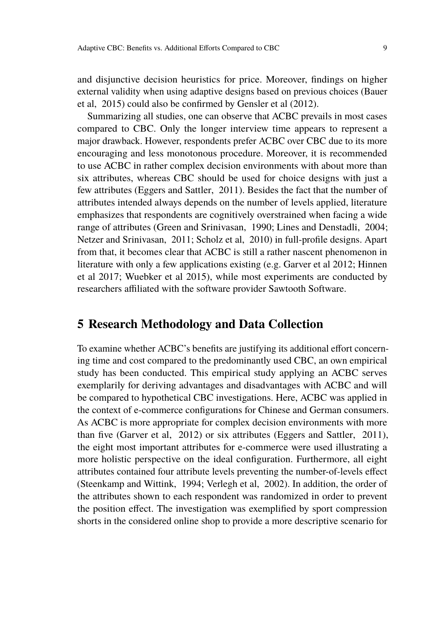and disjunctive decision heuristics for price. Moreover, findings on higher external validity when using adaptive designs based on previous choices [\(Bauer](#page-18-3) [et al, 2015\)](#page-18-3) could also be confirmed by [Gensler et al](#page-18-2) [\(2012\)](#page-18-2).

Summarizing all studies, one can observe that ACBC prevails in most cases compared to CBC. Only the longer interview time appears to represent a major drawback. However, respondents prefer ACBC over CBC due to its more encouraging and less monotonous procedure. Moreover, it is recommended to use ACBC in rather complex decision environments with about more than six attributes, whereas CBC should be used for choice designs with just a few attributes [\(Eggers and Sattler, 2011\)](#page-18-9). Besides the fact that the number of attributes intended always depends on the number of levels applied, literature emphasizes that respondents are cognitively overstrained when facing a wide range of attributes [\(Green and Srinivasan, 1990;](#page-18-10) [Lines and Denstadli, 2004;](#page-19-3) [Netzer and Srinivasan, 2011;](#page-19-10) [Scholz et al, 2010\)](#page-20-5) in full-profile designs. Apart from that, it becomes clear that ACBC is still a rather nascent phenomenon in literature with only a few applications existing (e.g. [Garver et al 2012;](#page-18-4) [Hinnen](#page-18-11) [et al 2017;](#page-18-11) [Wuebker et al 2015\)](#page-21-1), while most experiments are conducted by researchers affiliated with the software provider Sawtooth Software.

#### **5 Research Methodology and Data Collection**

To examine whether ACBC's benefits are justifying its additional effort concerning time and cost compared to the predominantly used CBC, an own empirical study has been conducted. This empirical study applying an ACBC serves exemplarily for deriving advantages and disadvantages with ACBC and will be compared to hypothetical CBC investigations. Here, ACBC was applied in the context of e-commerce configurations for Chinese and German consumers. As ACBC is more appropriate for complex decision environments with more than five [\(Garver et al, 2012\)](#page-18-4) or six attributes [\(Eggers and Sattler, 2011\)](#page-18-9), the eight most important attributes for e-commerce were used illustrating a more holistic perspective on the ideal configuration. Furthermore, all eight attributes contained four attribute levels preventing the number-of-levels effect [\(Steenkamp and Wittink, 1994;](#page-20-9) [Verlegh et al, 2002\)](#page-20-10). In addition, the order of the attributes shown to each respondent was randomized in order to prevent the position effect. The investigation was exemplified by sport compression shorts in the considered online shop to provide a more descriptive scenario for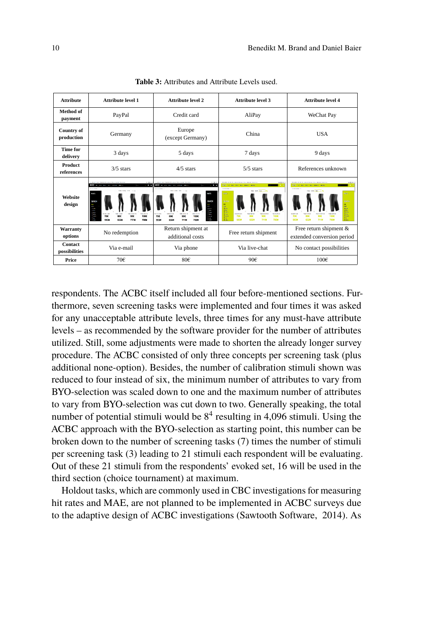| <b>Attribute</b>                | <b>Attribute level 1</b>                                                                                                                                                             | <b>Attribute level 2</b>                                                                                                                                                                                                                           | <b>Attribute level 3</b>                                                                                                                                                                                                                                                                  | <b>Attribute level 4</b>                                                                                                                                                                                                                                          |
|---------------------------------|--------------------------------------------------------------------------------------------------------------------------------------------------------------------------------------|----------------------------------------------------------------------------------------------------------------------------------------------------------------------------------------------------------------------------------------------------|-------------------------------------------------------------------------------------------------------------------------------------------------------------------------------------------------------------------------------------------------------------------------------------------|-------------------------------------------------------------------------------------------------------------------------------------------------------------------------------------------------------------------------------------------------------------------|
| Method of<br>payment            | PayPal                                                                                                                                                                               | Credit card                                                                                                                                                                                                                                        | AliPay                                                                                                                                                                                                                                                                                    | WeChat Pay                                                                                                                                                                                                                                                        |
| <b>Country of</b><br>production | Germany                                                                                                                                                                              | Europe<br>(except Germany)                                                                                                                                                                                                                         | China                                                                                                                                                                                                                                                                                     | <b>USA</b>                                                                                                                                                                                                                                                        |
| <b>Time for</b><br>delivery     | 3 days                                                                                                                                                                               | 5 days                                                                                                                                                                                                                                             | 7 days                                                                                                                                                                                                                                                                                    | 9 days                                                                                                                                                                                                                                                            |
| Product<br>references           | $3/5$ stars                                                                                                                                                                          | $4/5$ stars                                                                                                                                                                                                                                        | $5/5$ stars                                                                                                                                                                                                                                                                               | References unknown                                                                                                                                                                                                                                                |
| <b>Website</b><br>design        | $5/12$ m<br>. .<br><b>BOTA</b> we can such the compa-<br>----<br><b>NAT'S</b><br>SIMOLE<br>÷.<br>Š<br>cesse<br>70€<br><b>RMC</b><br>906<br>100€<br>×<br>5536<br>6320<br>7118<br>7906 | 5/10<br>4000 m on you<br>- -<br><b>Service Control</b><br><b>MATT</b><br><b>U4808</b><br>$\overline{a}$<br>C.<br>ш.<br><b>SERVICE</b><br>ш,<br>700<br><b>RDC</b><br>1006<br>SOC.<br>$\overline{\phantom{a}}$<br>١ż<br>5534<br>632W<br>7118<br>7904 | text av<br>1997 or but you was sports<br><b>SHOW SHOW IN</b><br><b>Deal Sele Scott 10</b><br>ara.<br>geon.<br>$\frac{1}{16}$<br><b>Band</b><br><b>SAFTIN</b><br><b>Ware</b><br>706<br><b>Rock</b><br>800<br>1000<br>900<br>$\mathbf{r}$ and<br>5538<br>632¥<br>7118<br>790¥<br><b>Box</b> | test at<br>1990 to be the air seats seen<br><b>STATE STATE OF</b><br>the local factory in<br>an.<br>man<br>ò.<br>쯽<br>time.<br>-----<br>tsel.<br><b>706</b><br>800<br><b>Allege</b><br>1000<br>90C<br>$\mathbf{r}$<br>553%<br>632V<br>7118<br>7908<br><b>Book</b> |
| Warranty<br>options             | No redemption                                                                                                                                                                        | Return shipment at<br>additional costs                                                                                                                                                                                                             | Free return shipment                                                                                                                                                                                                                                                                      | Free return shipment &<br>extended conversion period                                                                                                                                                                                                              |
| Contact<br>possibilities        | Via e-mail                                                                                                                                                                           | Via phone                                                                                                                                                                                                                                          | Via live-chat                                                                                                                                                                                                                                                                             | No contact possibilities                                                                                                                                                                                                                                          |
| Price                           | 70€                                                                                                                                                                                  | 80€                                                                                                                                                                                                                                                | 90€                                                                                                                                                                                                                                                                                       | 100C                                                                                                                                                                                                                                                              |

**Table 3:** Attributes and Attribute Levels used.

respondents. The ACBC itself included all four before-mentioned sections. Furthermore, seven screening tasks were implemented and four times it was asked for any unacceptable attribute levels, three times for any must-have attribute levels – as recommended by the software provider for the number of attributes utilized. Still, some adjustments were made to shorten the already longer survey procedure. The ACBC consisted of only three concepts per screening task (plus additional none-option). Besides, the number of calibration stimuli shown was reduced to four instead of six, the minimum number of attributes to vary from BYO-selection was scaled down to one and the maximum number of attributes to vary from BYO-selection was cut down to two. Generally speaking, the total number of potential stimuli would be  $8^4$  resulting in 4,096 stimuli. Using the ACBC approach with the BYO-selection as starting point, this number can be broken down to the number of screening tasks (7) times the number of stimuli per screening task (3) leading to 21 stimuli each respondent will be evaluating. Out of these 21 stimuli from the respondents' evoked set, 16 will be used in the third section (choice tournament) at maximum.

Holdout tasks, which are commonly used in CBC investigations for measuring hit rates and MAE, are not planned to be implemented in ACBC surveys due to the adaptive design of ACBC investigations [\(Sawtooth Software, 2014\)](#page-19-7). As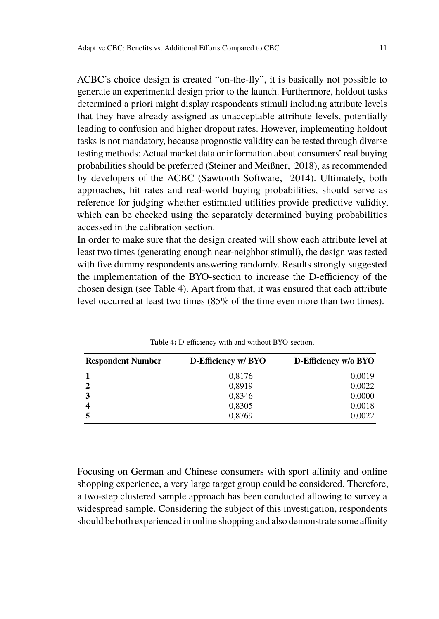ACBC's choice design is created "on-the-fly", it is basically not possible to generate an experimental design prior to the launch. Furthermore, holdout tasks determined a priori might display respondents stimuli including attribute levels that they have already assigned as unacceptable attribute levels, potentially leading to confusion and higher dropout rates. However, implementing holdout tasks is not mandatory, because prognostic validity can be tested through diverse testing methods: Actual market data or information about consumers' real buying probabilities should be preferred [\(Steiner and Meißner, 2018\)](#page-20-4), as recommended by developers of the ACBC [\(Sawtooth Software, 2014\)](#page-19-7). Ultimately, both approaches, hit rates and real-world buying probabilities, should serve as reference for judging whether estimated utilities provide predictive validity, which can be checked using the separately determined buying probabilities accessed in the calibration section.

In order to make sure that the design created will show each attribute level at least two times (generating enough near-neighbor stimuli), the design was tested with five dummy respondents answering randomly. Results strongly suggested the implementation of the BYO-section to increase the D-efficiency of the chosen design (see Table [4\)](#page-10-0). Apart from that, it was ensured that each attribute level occurred at least two times (85% of the time even more than two times).

<span id="page-10-0"></span>

| <b>Respondent Number</b> | D-Efficiency w/ BYO | D-Efficiency w/o BYO |
|--------------------------|---------------------|----------------------|
|                          | 0,8176              | 0,0019               |
|                          | 0,8919              | 0,0022               |
|                          | 0,8346              | 0,0000               |
|                          | 0,8305              | 0,0018               |
|                          | 0,8769              | 0,0022               |

**Table 4:** D-efficiency with and without BYO-section.

Focusing on German and Chinese consumers with sport affinity and online shopping experience, a very large target group could be considered. Therefore, a two-step clustered sample approach has been conducted allowing to survey a widespread sample. Considering the subject of this investigation, respondents should be both experienced in online shopping and also demonstrate some affinity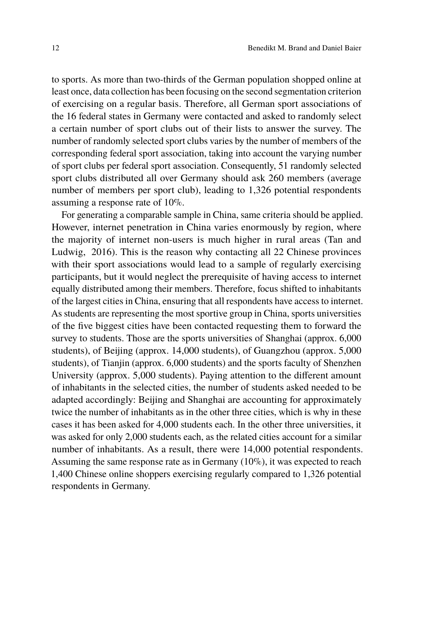to sports. As more than two-thirds of the German population shopped online at least once, data collection has been focusing on the second segmentation criterion of exercising on a regular basis. Therefore, all German sport associations of the 16 federal states in Germany were contacted and asked to randomly select a certain number of sport clubs out of their lists to answer the survey. The number of randomly selected sport clubs varies by the number of members of the corresponding federal sport association, taking into account the varying number of sport clubs per federal sport association. Consequently, 51 randomly selected sport clubs distributed all over Germany should ask 260 members (average number of members per sport club), leading to 1,326 potential respondents assuming a response rate of 10%.

For generating a comparable sample in China, same criteria should be applied. However, internet penetration in China varies enormously by region, where the majority of internet non-users is much higher in rural areas [\(Tan and](#page-20-11) [Ludwig, 2016\)](#page-20-11). This is the reason why contacting all 22 Chinese provinces with their sport associations would lead to a sample of regularly exercising participants, but it would neglect the prerequisite of having access to internet equally distributed among their members. Therefore, focus shifted to inhabitants of the largest cities in China, ensuring that all respondents have access to internet. As students are representing the most sportive group in China, sports universities of the five biggest cities have been contacted requesting them to forward the survey to students. Those are the sports universities of Shanghai (approx. 6,000 students), of Beijing (approx. 14,000 students), of Guangzhou (approx. 5,000 students), of Tianjin (approx. 6,000 students) and the sports faculty of Shenzhen University (approx. 5,000 students). Paying attention to the different amount of inhabitants in the selected cities, the number of students asked needed to be adapted accordingly: Beijing and Shanghai are accounting for approximately twice the number of inhabitants as in the other three cities, which is why in these cases it has been asked for 4,000 students each. In the other three universities, it was asked for only 2,000 students each, as the related cities account for a similar number of inhabitants. As a result, there were 14,000 potential respondents. Assuming the same response rate as in Germany (10%), it was expected to reach 1,400 Chinese online shoppers exercising regularly compared to 1,326 potential respondents in Germany.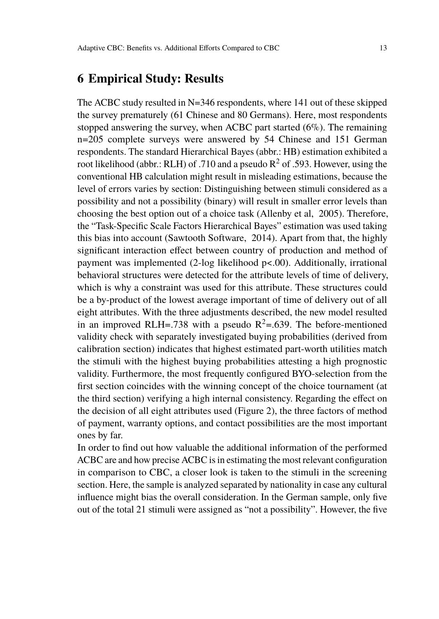## **6 Empirical Study: Results**

The ACBC study resulted in N=346 respondents, where 141 out of these skipped the survey prematurely (61 Chinese and 80 Germans). Here, most respondents stopped answering the survey, when ACBC part started  $(6\%)$ . The remaining n=205 complete surveys were answered by 54 Chinese and 151 German respondents. The standard Hierarchical Bayes (abbr.: HB) estimation exhibited a root likelihood (abbr.: RLH) of .710 and a pseudo  $R^2$  of .593. However, using the conventional HB calculation might result in misleading estimations, because the level of errors varies by section: Distinguishing between stimuli considered as a possibility and not a possibility (binary) will result in smaller error levels than choosing the best option out of a choice task [\(Allenby et al, 2005\)](#page-18-12). Therefore, the "Task-Specific Scale Factors Hierarchical Bayes" estimation was used taking this bias into account [\(Sawtooth Software, 2014\)](#page-19-7). Apart from that, the highly significant interaction effect between country of production and method of payment was implemented (2-log likelihood p<.00). Additionally, irrational behavioral structures were detected for the attribute levels of time of delivery, which is why a constraint was used for this attribute. These structures could be a by-product of the lowest average important of time of delivery out of all eight attributes. With the three adjustments described, the new model resulted in an improved RLH=.738 with a pseudo  $R^2$ =.639. The before-mentioned validity check with separately investigated buying probabilities (derived from calibration section) indicates that highest estimated part-worth utilities match the stimuli with the highest buying probabilities attesting a high prognostic validity. Furthermore, the most frequently configured BYO-selection from the first section coincides with the winning concept of the choice tournament (at the third section) verifying a high internal consistency. Regarding the effect on the decision of all eight attributes used (Figure 2), the three factors of method of payment, warranty options, and contact possibilities are the most important ones by far.

In order to find out how valuable the additional information of the performed ACBC are and how precise ACBC is in estimating the most relevant configuration in comparison to CBC, a closer look is taken to the stimuli in the screening section. Here, the sample is analyzed separated by nationality in case any cultural influence might bias the overall consideration. In the German sample, only five out of the total 21 stimuli were assigned as "not a possibility". However, the five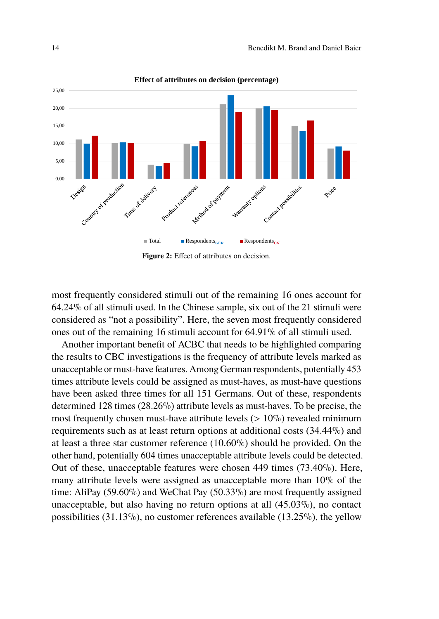

**Figure 2:** Effect of attributes on decision.

most frequently considered stimuli out of the remaining 16 ones account for 64.24% of all stimuli used. In the Chinese sample, six out of the 21 stimuli were considered as "not a possibility". Here, the seven most frequently considered ones out of the remaining 16 stimuli account for 64.91% of all stimuli used.

Another important benefit of ACBC that needs to be highlighted comparing the results to CBC investigations is the frequency of attribute levels marked as unacceptable or must-have features. Among German respondents, potentially 453 times attribute levels could be assigned as must-haves, as must-have questions have been asked three times for all 151 Germans. Out of these, respondents determined 128 times (28.26%) attribute levels as must-haves. To be precise, the most frequently chosen must-have attribute levels  $(> 10\%)$  revealed minimum requirements such as at least return options at additional costs (34.44%) and at least a three star customer reference (10.60%) should be provided. On the other hand, potentially 604 times unacceptable attribute levels could be detected. Out of these, unacceptable features were chosen 449 times (73.40%). Here, many attribute levels were assigned as unacceptable more than 10% of the time: AliPay (59.60%) and WeChat Pay (50.33%) are most frequently assigned unacceptable, but also having no return options at all (45.03%), no contact possibilities (31.13%), no customer references available (13.25%), the yellow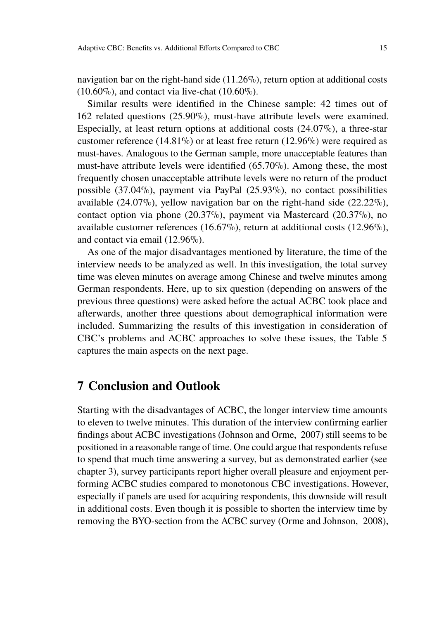navigation bar on the right-hand side (11.26%), return option at additional costs  $(10.60\%)$ , and contact via live-chat  $(10.60\%)$ .

Similar results were identified in the Chinese sample: 42 times out of 162 related questions (25.90%), must-have attribute levels were examined. Especially, at least return options at additional costs (24.07%), a three-star customer reference (14.81%) or at least free return (12.96%) were required as must-haves. Analogous to the German sample, more unacceptable features than must-have attribute levels were identified (65.70%). Among these, the most frequently chosen unacceptable attribute levels were no return of the product possible (37.04%), payment via PayPal (25.93%), no contact possibilities available  $(24.07\%)$ , yellow navigation bar on the right-hand side  $(22.22\%)$ , contact option via phone (20.37%), payment via Mastercard (20.37%), no available customer references (16.67%), return at additional costs (12.96%), and contact via email (12.96%).

As one of the major disadvantages mentioned by literature, the time of the interview needs to be analyzed as well. In this investigation, the total survey time was eleven minutes on average among Chinese and twelve minutes among German respondents. Here, up to six question (depending on answers of the previous three questions) were asked before the actual ACBC took place and afterwards, another three questions about demographical information were included. Summarizing the results of this investigation in consideration of CBC's problems and ACBC approaches to solve these issues, the Table [5](#page-15-0) captures the main aspects on the next page.

### **7 Conclusion and Outlook**

Starting with the disadvantages of ACBC, the longer interview time amounts to eleven to twelve minutes. This duration of the interview confirming earlier findings about ACBC investigations [\(Johnson and Orme, 2007\)](#page-19-5) still seems to be positioned in a reasonable range of time. One could argue that respondents refuse to spend that much time answering a survey, but as demonstrated earlier (see chapter 3), survey participants report higher overall pleasure and enjoyment performing ACBC studies compared to monotonous CBC investigations. However, especially if panels are used for acquiring respondents, this downside will result in additional costs. Even though it is possible to shorten the interview time by removing the BYO-section from the ACBC survey [\(Orme and Johnson, 2008\)](#page-19-9),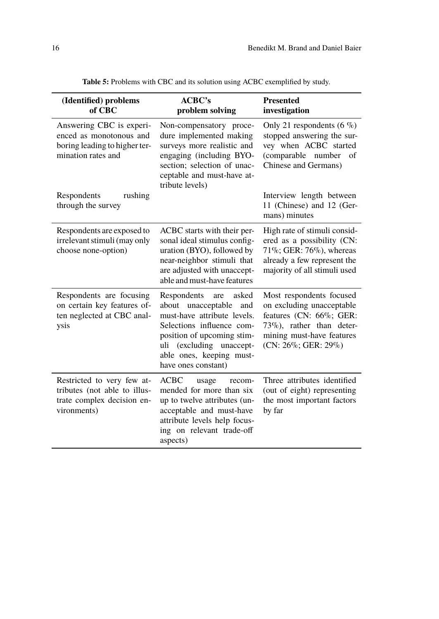<span id="page-15-0"></span>

| (Identified) problems<br>of CBC                                                                                                      | ACBC's<br>problem solving                                                                                                                                                                                                         | <b>Presented</b><br>investigation                                                                                                                                    |
|--------------------------------------------------------------------------------------------------------------------------------------|-----------------------------------------------------------------------------------------------------------------------------------------------------------------------------------------------------------------------------------|----------------------------------------------------------------------------------------------------------------------------------------------------------------------|
| Answering CBC is experi-<br>enced as monotonous and<br>boring leading to higher ter-<br>mination rates and<br>Respondents<br>rushing | Non-compensatory proce-<br>dure implemented making<br>surveys more realistic and<br>engaging (including BYO-<br>section: selection of unac-<br>ceptable and must-have at-<br>tribute levels)                                      | Only 21 respondents (6 $\%$ )<br>stopped answering the sur-<br>vey when ACBC started<br>(comparable number<br>of<br>Chinese and Germans)<br>Interview length between |
| through the survey                                                                                                                   |                                                                                                                                                                                                                                   | 11 (Chinese) and 12 (Ger-<br>mans) minutes                                                                                                                           |
| Respondents are exposed to<br>irrelevant stimuli (may only<br>choose none-option)                                                    | ACBC starts with their per-<br>sonal ideal stimulus config-<br>uration (BYO), followed by<br>near-neighbor stimuli that<br>are adjusted with unaccept-<br>able and must-have features                                             | High rate of stimuli consid-<br>ered as a possibility (CN:<br>71%; GER: 76%), whereas<br>already a few represent the<br>majority of all stimuli used                 |
| Respondents are focusing<br>on certain key features of-<br>ten neglected at CBC anal-<br>ysis                                        | Respondents<br>asked<br>are<br>about unacceptable<br>and<br>must-have attribute levels.<br>Selections influence com-<br>position of upcoming stim-<br>uli (excluding unaccept-<br>able ones, keeping must-<br>have ones constant) | Most respondents focused<br>on excluding unacceptable<br>features (CN: 66%; GER:<br>$73\%$ ), rather than deter-<br>mining must-have features<br>(CN: 26%; GER: 29%) |
| Restricted to very few at-<br>tributes (not able to illus-<br>trate complex decision en-<br>vironments)                              | <b>ACBC</b><br>usage<br>recom-<br>mended for more than six<br>up to twelve attributes (un-<br>acceptable and must-have<br>attribute levels help focus-<br>ing on relevant trade-off<br>aspects)                                   | Three attributes identified<br>(out of eight) representing<br>the most important factors<br>by far                                                                   |

**Table 5:** Problems with CBC and its solution using ACBC exemplified by study.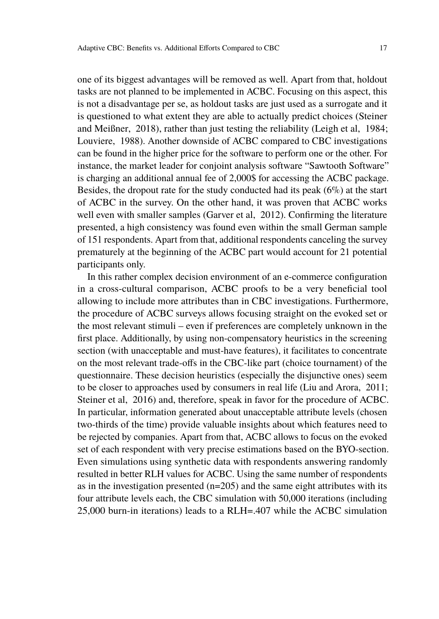one of its biggest advantages will be removed as well. Apart from that, holdout tasks are not planned to be implemented in ACBC. Focusing on this aspect, this is not a disadvantage per se, as holdout tasks are just used as a surrogate and it is questioned to what extent they are able to actually predict choices [\(Steiner](#page-20-4) [and Meißner, 2018\)](#page-20-4), rather than just testing the reliability [\(Leigh et al, 1984;](#page-19-11) [Louviere, 1988\)](#page-19-12). Another downside of ACBC compared to CBC investigations can be found in the higher price for the software to perform one or the other. For instance, the market leader for conjoint analysis software "Sawtooth Software" is charging an additional annual fee of 2,000\$ for accessing the ACBC package. Besides, the dropout rate for the study conducted had its peak (6%) at the start of ACBC in the survey. On the other hand, it was proven that ACBC works well even with smaller samples [\(Garver et al, 2012\)](#page-18-4). Confirming the literature presented, a high consistency was found even within the small German sample of 151 respondents. Apart from that, additional respondents canceling the survey prematurely at the beginning of the ACBC part would account for 21 potential participants only.

In this rather complex decision environment of an e-commerce configuration in a cross-cultural comparison, ACBC proofs to be a very beneficial tool allowing to include more attributes than in CBC investigations. Furthermore, the procedure of ACBC surveys allows focusing straight on the evoked set or the most relevant stimuli – even if preferences are completely unknown in the first place. Additionally, by using non-compensatory heuristics in the screening section (with unacceptable and must-have features), it facilitates to concentrate on the most relevant trade-offs in the CBC-like part (choice tournament) of the questionnaire. These decision heuristics (especially the disjunctive ones) seem to be closer to approaches used by consumers in real life [\(Liu and Arora, 2011;](#page-19-13) [Steiner et al, 2016\)](#page-20-12) and, therefore, speak in favor for the procedure of ACBC. In particular, information generated about unacceptable attribute levels (chosen two-thirds of the time) provide valuable insights about which features need to be rejected by companies. Apart from that, ACBC allows to focus on the evoked set of each respondent with very precise estimations based on the BYO-section. Even simulations using synthetic data with respondents answering randomly resulted in better RLH values for ACBC. Using the same number of respondents as in the investigation presented  $(n=205)$  and the same eight attributes with its four attribute levels each, the CBC simulation with 50,000 iterations (including 25,000 burn-in iterations) leads to a RLH=.407 while the ACBC simulation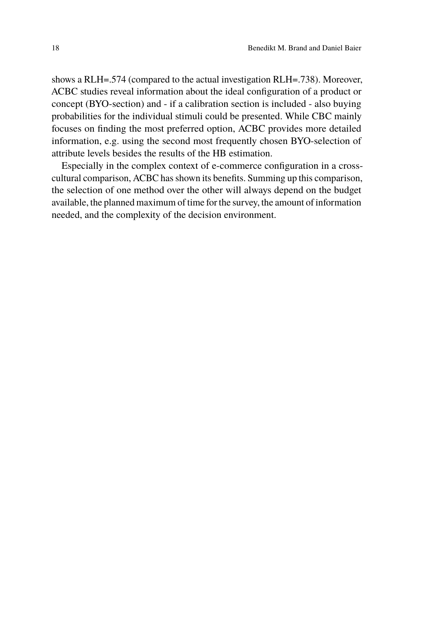shows a RLH=.574 (compared to the actual investigation RLH=.738). Moreover, ACBC studies reveal information about the ideal configuration of a product or concept (BYO-section) and - if a calibration section is included - also buying probabilities for the individual stimuli could be presented. While CBC mainly focuses on finding the most preferred option, ACBC provides more detailed information, e.g. using the second most frequently chosen BYO-selection of attribute levels besides the results of the HB estimation.

Especially in the complex context of e-commerce configuration in a crosscultural comparison, ACBC has shown its benefits. Summing up this comparison, the selection of one method over the other will always depend on the budget available, the planned maximum of time for the survey, the amount of information needed, and the complexity of the decision environment.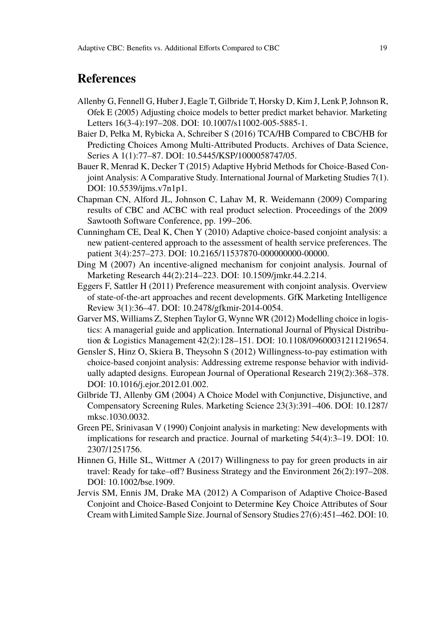## **References**

- <span id="page-18-12"></span>Allenby G, Fennell G, Huber J, Eagle T, Gilbride T, Horsky D, Kim J, Lenk P, Johnson R, Ofek E (2005) Adjusting choice models to better predict market behavior. Marketing Letters 16(3-4):197–208. [DOI: 10.1007/s11002-005-5885-1.](https://doi.org/10.1007/s11002-005-5885-1)
- <span id="page-18-0"></span>Baier D, Pełka M, Rybicka A, Schreiber S (2016) TCA/HB Compared to CBC/HB for Predicting Choices Among Multi-Attributed Products. Archives of Data Science, Series A 1(1):77–87. [DOI: 10.5445/KSP/1000058747/05.](https://doi.org/10.5445/KSP/1000058747/05)
- <span id="page-18-3"></span>Bauer R, Menrad K, Decker T (2015) Adaptive Hybrid Methods for Choice-Based Conjoint Analysis: A Comparative Study. International Journal of Marketing Studies 7(1). [DOI: 10.5539/ijms.v7n1p1.](https://doi.org/10.5539/ijms.v7n1p1)
- <span id="page-18-6"></span>Chapman CN, Alford JL, Johnson C, Lahav M, R. Weidemann (2009) Comparing results of CBC and ACBC with real product selection. Proceedings of the 2009 Sawtooth Software Conference, pp. 199–206.
- <span id="page-18-7"></span>Cunningham CE, Deal K, Chen Y (2010) Adaptive choice-based conjoint analysis: a new patient-centered approach to the assessment of health service preferences. The patient 3(4):257–273. [DOI: 10.2165/11537870-000000000-00000.](https://doi.org/10.2165/11537870-000000000-00000)
- <span id="page-18-1"></span>Ding M (2007) An incentive-aligned mechanism for conjoint analysis. Journal of Marketing Research 44(2):214–223. [DOI: 10.1509/jmkr.44.2.214.](https://doi.org/10.1509/jmkr.44.2.214)
- <span id="page-18-9"></span>Eggers F, Sattler H (2011) Preference measurement with conjoint analysis. Overview of state-of-the-art approaches and recent developments. GfK Marketing Intelligence Review 3(1):36–47. [DOI: 10.2478/gfkmir-2014-0054.](https://doi.org/10.2478/gfkmir-2014-0054)
- <span id="page-18-4"></span>Garver MS, Williams Z, Stephen Taylor G, Wynne WR (2012) Modelling choice in logistics: A managerial guide and application. International Journal of Physical Distribution & Logistics Management 42(2):128–151. [DOI: 10.1108/09600031211219654.](https://doi.org/10.1108/09600031211219654)
- <span id="page-18-2"></span>Gensler S, Hinz O, Skiera B, Theysohn S (2012) Willingness-to-pay estimation with choice-based conjoint analysis: Addressing extreme response behavior with individually adapted designs. European Journal of Operational Research 219(2):368–378. [DOI: 10.1016/j.ejor.2012.01.002.](https://doi.org/10.1016/j.ejor.2012.01.002)
- <span id="page-18-5"></span>Gilbride TJ, Allenby GM (2004) A Choice Model with Conjunctive, Disjunctive, and Compensatory Screening Rules. Marketing Science 23(3):391–406. [DOI: 10.1287/](https://doi.org/10.1287/mksc.1030.0032) [mksc.1030.0032.](https://doi.org/10.1287/mksc.1030.0032)
- <span id="page-18-10"></span>Green PE, Srinivasan V (1990) Conjoint analysis in marketing: New developments with implications for research and practice. Journal of marketing 54(4):3–19. [DOI: 10.](https://doi.org/10.2307/1251756) [2307/1251756.](https://doi.org/10.2307/1251756)
- <span id="page-18-11"></span>Hinnen G, Hille SL, Wittmer A (2017) Willingness to pay for green products in air travel: Ready for take–off? Business Strategy and the Environment 26(2):197–208. [DOI: 10.1002/bse.1909.](https://doi.org/10.1002/bse.1909)
- <span id="page-18-8"></span>Jervis SM, Ennis JM, Drake MA (2012) A Comparison of Adaptive Choice-Based Conjoint and Choice-Based Conjoint to Determine Key Choice Attributes of Sour Cream with Limited Sample Size. Journal of Sensory Studies 27(6):451–462. [DOI: 10.](https://doi.org/10.1111/joss.12009)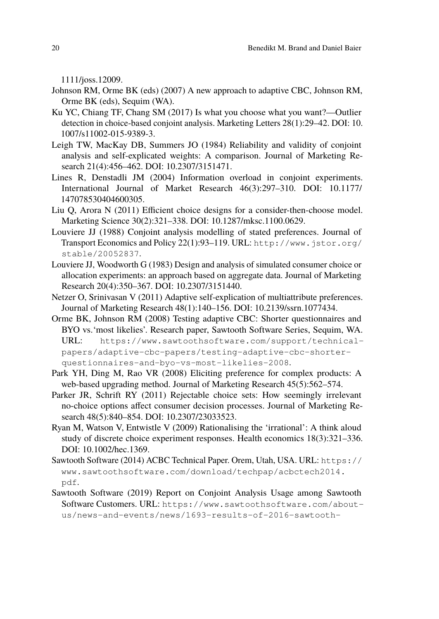[1111/joss.12009.](https://doi.org/10.1111/joss.12009)

- <span id="page-19-5"></span>Johnson RM, Orme BK (eds) (2007) A new approach to adaptive CBC, Johnson RM, Orme BK (eds), Sequim (WA).
- <span id="page-19-0"></span>Ku YC, Chiang TF, Chang SM (2017) Is what you choose what you want?—Outlier detection in choice-based conjoint analysis. Marketing Letters 28(1):29–42. [DOI: 10.](https://doi.org/10.1007/s11002-015-9389-3) [1007/s11002-015-9389-3.](https://doi.org/10.1007/s11002-015-9389-3)
- <span id="page-19-11"></span>Leigh TW, MacKay DB, Summers JO (1984) Reliability and validity of conjoint analysis and self-explicated weights: A comparison. Journal of Marketing Research 21(4):456–462. [DOI: 10.2307/3151471.](https://doi.org/10.2307/3151471)
- <span id="page-19-3"></span>Lines R, Denstadli JM (2004) Information overload in conjoint experiments. International Journal of Market Research 46(3):297–310. [DOI: 10.1177/](https://doi.org/10.1177/147078530404600305) [147078530404600305.](https://doi.org/10.1177/147078530404600305)
- <span id="page-19-13"></span>Liu Q, Arora N (2011) Efficient choice designs for a consider-then-choose model. Marketing Science 30(2):321–338. [DOI: 10.1287/mksc.1100.0629.](https://doi.org/10.1287/mksc.1100.0629)
- <span id="page-19-12"></span>Louviere JJ (1988) Conjoint analysis modelling of stated preferences. Journal of Transport Economics and Policy 22(1):93–119. URL: [http://www.jstor.org/](http://www.jstor.org/stable/20052837) [stable/20052837](http://www.jstor.org/stable/20052837).
- <span id="page-19-1"></span>Louviere JJ, Woodworth G (1983) Design and analysis of simulated consumer choice or allocation experiments: an approach based on aggregate data. Journal of Marketing Research 20(4):350–367. [DOI: 10.2307/3151440.](https://doi.org/10.2307/3151440)
- <span id="page-19-10"></span>Netzer O, Srinivasan V (2011) Adaptive self-explication of multiattribute preferences. Journal of Marketing Research 48(1):140–156. [DOI: 10.2139/ssrn.1077434.](https://doi.org/10.2139/ssrn.1077434)
- <span id="page-19-9"></span>Orme BK, Johnson RM (2008) Testing adaptive CBC: Shorter questionnaires and BYO vs.'most likelies'. Research paper, Sawtooth Software Series, Sequim, WA. URL: [https://www.sawtoothsoftware.com/support/technical](https://www.sawtoothsoftware.com/support/technical-papers/adaptive-cbc-papers/testing-adaptive-cbc-shorter-questionnaires-and-byo-vs-most-likelies-2008)[papers/adaptive-cbc-papers/testing-adaptive-cbc-shorter](https://www.sawtoothsoftware.com/support/technical-papers/adaptive-cbc-papers/testing-adaptive-cbc-shorter-questionnaires-and-byo-vs-most-likelies-2008)[questionnaires-and-byo-vs-most-likelies-2008](https://www.sawtoothsoftware.com/support/technical-papers/adaptive-cbc-papers/testing-adaptive-cbc-shorter-questionnaires-and-byo-vs-most-likelies-2008).
- <span id="page-19-6"></span>Park YH, Ding M, Rao VR (2008) Eliciting preference for complex products: A web-based upgrading method. Journal of Marketing Research 45(5):562–574.
- <span id="page-19-8"></span>Parker JR, Schrift RY (2011) Rejectable choice sets: How seemingly irrelevant no-choice options affect consumer decision processes. Journal of Marketing Research 48(5):840–854. [DOI: 10.2307/23033523.](https://doi.org/10.2307/23033523)
- <span id="page-19-4"></span>Ryan M, Watson V, Entwistle V (2009) Rationalising the 'irrational': A think aloud study of discrete choice experiment responses. Health economics 18(3):321–336. [DOI: 10.1002/hec.1369.](https://doi.org/10.1002/hec.1369)
- <span id="page-19-7"></span>Sawtooth Software (2014) ACBC Technical Paper. Orem, Utah, USA. URL: [https://](https://www.sawtoothsoftware.com/download/techpap/acbctech2014.pdf) [www.sawtoothsoftware.com/download/techpap/acbctech2014.](https://www.sawtoothsoftware.com/download/techpap/acbctech2014.pdf) [pdf](https://www.sawtoothsoftware.com/download/techpap/acbctech2014.pdf).
- <span id="page-19-2"></span>Sawtooth Software (2019) Report on Conjoint Analysis Usage among Sawtooth Software Customers. URL: [https://www.sawtoothsoftware.com/about](https://www.sawtoothsoftware.com/about-us/news-and-events/news/1693-results-of-2016-sawtooth-software-user-survey)[us/news-and-events/news/1693-results-of-2016-sawtooth-](https://www.sawtoothsoftware.com/about-us/news-and-events/news/1693-results-of-2016-sawtooth-software-user-survey)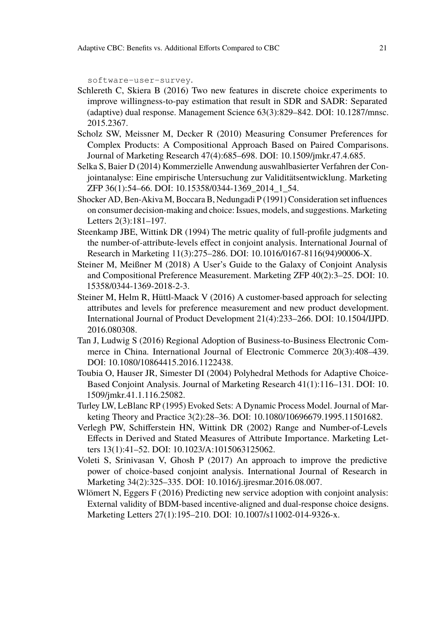[software-user-survey](https://www.sawtoothsoftware.com/about-us/news-and-events/news/1693-results-of-2016-sawtooth-software-user-survey).

- <span id="page-20-8"></span>Schlereth C, Skiera B (2016) Two new features in discrete choice experiments to improve willingness-to-pay estimation that result in SDR and SADR: Separated (adaptive) dual response. Management Science 63(3):829–842. [DOI: 10.1287/mnsc.](https://doi.org/10.1287/mnsc.2015.2367) [2015.2367.](https://doi.org/10.1287/mnsc.2015.2367)
- <span id="page-20-5"></span>Scholz SW, Meissner M, Decker R (2010) Measuring Consumer Preferences for Complex Products: A Compositional Approach Based on Paired Comparisons. Journal of Marketing Research 47(4):685–698. [DOI: 10.1509/jmkr.47.4.685.](https://doi.org/10.1509/jmkr.47.4.685)
- <span id="page-20-3"></span>Selka S, Baier D (2014) Kommerzielle Anwendung auswahlbasierter Verfahren der Conjointanalyse: Eine empirische Untersuchung zur Validitätsentwicklung. Marketing ZFP 36(1):54–66. [DOI: 10.15358/0344-1369\\_2014\\_1\\_54.](https://doi.org/10.15358/0344-1369{\textunderscore 
}2014{\textunderscore }1{\textunderscore }54)
- <span id="page-20-6"></span>Shocker AD, Ben-Akiva M, Boccara B, Nedungadi P (1991) Consideration set influences on consumer decision-making and choice: Issues, models, and suggestions. Marketing Letters 2(3):181–197.
- <span id="page-20-9"></span>Steenkamp JBE, Wittink DR (1994) The metric quality of full-profile judgments and the number-of-attribute-levels effect in conjoint analysis. International Journal of Research in Marketing 11(3):275–286. [DOI: 10.1016/0167-8116\(94\)90006-X.](https://doi.org/10.1016/0167-8116(94)90006-X)
- <span id="page-20-4"></span>Steiner M, Meißner M (2018) A User's Guide to the Galaxy of Conjoint Analysis and Compositional Preference Measurement. Marketing ZFP 40(2):3–25. [DOI: 10.](https://doi.org/10.15358/0344-1369-2018-2-3) [15358/0344-1369-2018-2-3.](https://doi.org/10.15358/0344-1369-2018-2-3)
- <span id="page-20-12"></span>Steiner M, Helm R, Hüttl-Maack V (2016) A customer-based approach for selecting attributes and levels for preference measurement and new product development. International Journal of Product Development 21(4):233–266. [DOI: 10.1504/IJPD.](https://doi.org/10.1504/IJPD.2016.080308) [2016.080308.](https://doi.org/10.1504/IJPD.2016.080308)
- <span id="page-20-11"></span>Tan J, Ludwig S (2016) Regional Adoption of Business-to-Business Electronic Commerce in China. International Journal of Electronic Commerce 20(3):408–439. [DOI: 10.1080/10864415.2016.1122438.](https://doi.org/10.1080/10864415.2016.1122438)
- <span id="page-20-2"></span>Toubia O, Hauser JR, Simester DI (2004) Polyhedral Methods for Adaptive Choice-Based Conjoint Analysis. Journal of Marketing Research 41(1):116–131. [DOI: 10.](https://doi.org/10.1509/jmkr.41.1.116.25082) [1509/jmkr.41.1.116.25082.](https://doi.org/10.1509/jmkr.41.1.116.25082)
- <span id="page-20-7"></span>Turley LW, LeBlanc RP (1995) Evoked Sets: A Dynamic Process Model. Journal of Marketing Theory and Practice 3(2):28–36. [DOI: 10.1080/10696679.1995.11501682.](https://doi.org/10.1080/10696679.1995.11501682)
- <span id="page-20-10"></span>Verlegh PW, Schifferstein HN, Wittink DR (2002) Range and Number-of-Levels Effects in Derived and Stated Measures of Attribute Importance. Marketing Letters 13(1):41–52. [DOI: 10.1023/A:1015063125062.](https://doi.org/10.1023/A:1015063125062)
- <span id="page-20-0"></span>Voleti S, Srinivasan V, Ghosh P (2017) An approach to improve the predictive power of choice-based conjoint analysis. International Journal of Research in Marketing 34(2):325–335. [DOI: 10.1016/j.ijresmar.2016.08.007.](https://doi.org/10.1016/j.ijresmar.2016.08.007)
- <span id="page-20-1"></span>Wlömert N, Eggers F (2016) Predicting new service adoption with conjoint analysis: External validity of BDM-based incentive-aligned and dual-response choice designs. Marketing Letters 27(1):195–210. [DOI: 10.1007/s11002-014-9326-x.](https://doi.org/10.1007/s11002-014-9326-x)